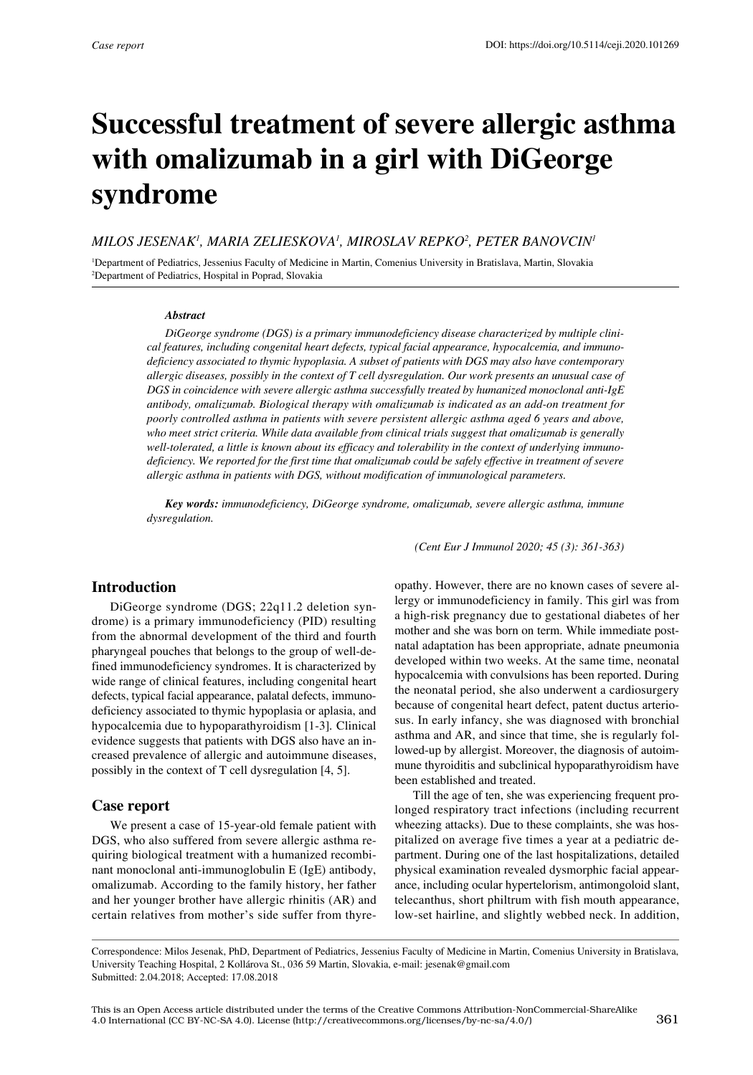# **Successful treatment of severe allergic asthma with omalizumab in a girl with DiGeorge syndrome**

#### *MILOS JESENAK1 , MARIA ZELIESKOVA1 , MIROSLAV REPKO2 , PETER BANOVCIN1*

1 Department of Pediatrics, Jessenius Faculty of Medicine in Martin, Comenius University in Bratislava, Martin, Slovakia 2 Department of Pediatrics, Hospital in Poprad, Slovakia

#### *Abstract*

*DiGeorge syndrome (DGS) is a primary immunodeficiency disease characterized by multiple clinical features, including congenital heart defects, typical facial appearance, hypocalcemia, and immunodeficiency associated to thymic hypoplasia. A subset of patients with DGS may also have contemporary allergic diseases, possibly in the context of T cell dysregulation. Our work presents an unusual case of DGS in coincidence with severe allergic asthma successfully treated by humanized monoclonal anti-IgE antibody, omalizumab. Biological therapy with omalizumab is indicated as an add-on treatment for poorly controlled asthma in patients with severe persistent allergic asthma aged 6 years and above, who meet strict criteria. While data available from clinical trials suggest that omalizumab is generally well-tolerated, a little is known about its efficacy and tolerability in the context of underlying immunodeficiency. We reported for the first time that omalizumab could be safely effective in treatment of severe allergic asthma in patients with DGS, without modification of immunological parameters.* 

*Key words: immunodeficiency, DiGeorge syndrome, omalizumab, severe allergic asthma, immune dysregulation.* 

*(Cent Eur J Immunol 2020; 45 (3): 361-363)*

## **Introduction**

DiGeorge syndrome (DGS; 22q11.2 deletion syndrome) is a primary immunodeficiency (PID) resulting from the abnormal development of the third and fourth pharyngeal pouches that belongs to the group of well-defined immunodeficiency syndromes. It is characterized by wide range of clinical features, including congenital heart defects, typical facial appearance, palatal defects, immunodeficiency associated to thymic hypoplasia or aplasia, and hypocalcemia due to hypoparathyroidism [1-3]*.* Clinical evidence suggests that patients with DGS also have an increased prevalence of allergic and autoimmune diseases, possibly in the context of T cell dysregulation [4, 5].

#### **Case report**

We present a case of 15-year-old female patient with DGS, who also suffered from severe allergic asthma requiring biological treatment with a humanized recombinant monoclonal anti-immunoglobulin E (IgE) antibody, omalizumab. According to the family history, her father and her younger brother have allergic rhinitis (AR) and certain relatives from mother's side suffer from thyreopathy. However, there are no known cases of severe allergy or immunodeficiency in family. This girl was from a high-risk pregnancy due to gestational diabetes of her mother and she was born on term. While immediate postnatal adaptation has been appropriate, adnate pneumonia developed within two weeks. At the same time, neonatal hypocalcemia with convulsions has been reported. During the neonatal period, she also underwent a cardiosurgery because of congenital heart defect, patent ductus arteriosus. In early infancy, she was diagnosed with bronchial asthma and AR, and since that time, she is regularly followed-up by allergist. Moreover, the diagnosis of autoimmune thyroiditis and subclinical hypoparathyroidism have been established and treated.

Till the age of ten, she was experiencing frequent prolonged respiratory tract infections (including recurrent wheezing attacks). Due to these complaints, she was hospitalized on average five times a year at a pediatric department. During one of the last hospitalizations, detailed physical examination revealed dysmorphic facial appearance, including ocular hypertelorism, antimongoloid slant, telecanthus, short philtrum with fish mouth appearance, low-set hairline, and slightly webbed neck. In addition,

Correspondence: Milos Jesenak, PhD, Department of Pediatrics, Jessenius Faculty of Medicine in Martin, Comenius University in Bratislava, University Teaching Hospital, 2 Kollárova St., 036 59 Martin, Slovakia, e-mail: jesenak@gmail.com Submitted: 2.04.2018; Accepted: 17.08.2018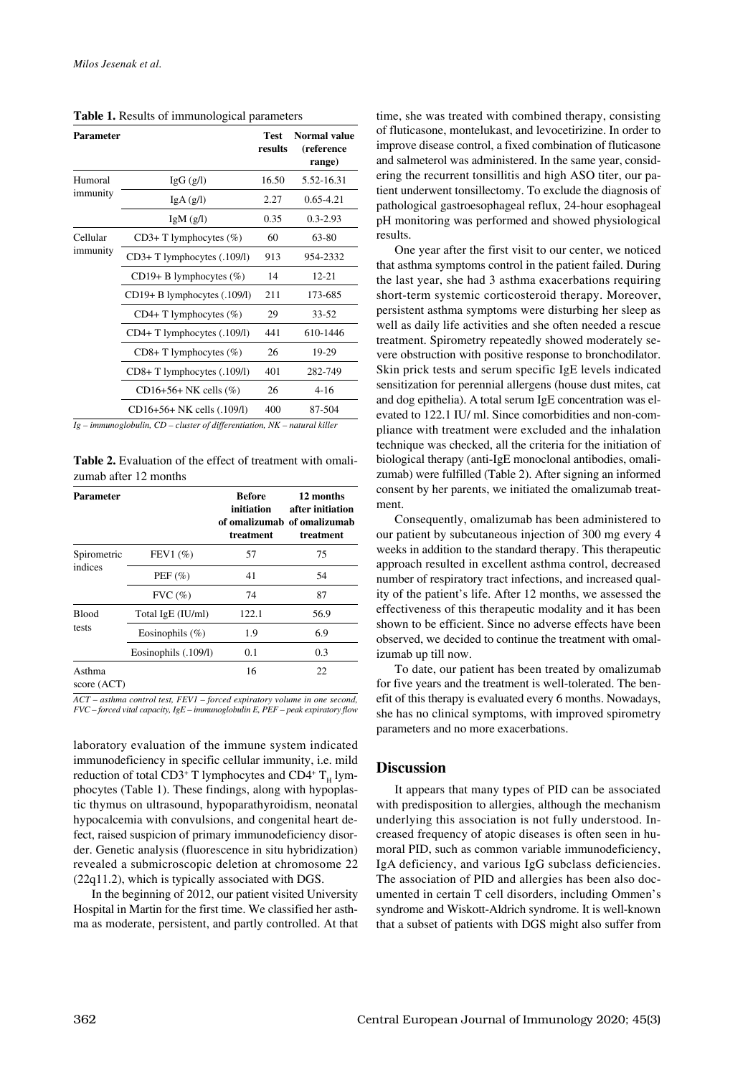**Table 1.** Results of immunological parameters

| <b>Parameter</b>     |                                  | Test<br>results | Normal value<br>(reference<br>range) |
|----------------------|----------------------------------|-----------------|--------------------------------------|
| Humoral<br>immunity  | $\lg G$ (g/l)                    | 16.50           | 5.52-16.31                           |
|                      | IgA(g/l)                         | 2.27            | $0.65 - 4.21$                        |
|                      | IgM(g/l)                         | 0.35            | $0.3 - 2.93$                         |
| Cellular<br>immunity | $CD3+T$ lymphocytes $(\%)$       | 60              | 63-80                                |
|                      | CD3+ T lymphocytes (.109/1)      | 913             | 954-2332                             |
|                      | CD19+ B lymphocytes $(\%)$       | 14              | $12 - 21$                            |
|                      | $CD19+ B$ lymphocytes $(.109/1)$ | 211             | 173-685                              |
|                      | $CD4+T$ lymphocytes $(\%)$       | 29              | $33 - 52$                            |
|                      | CD4+ T lymphocytes (.109/1)      | 441             | 610-1446                             |
|                      | $CD8+T$ lymphocytes $(\%)$       | 26              | 19-29                                |
|                      | CD8+T lymphocytes (.109/1)       | 401             | 282-749                              |
|                      | $CD16+56+NK$ cells $(\%)$        | 26              | $4 - 16$                             |
|                      | CD16+56+ NK cells (.109/1)       | 400             | 87-504                               |

*Ig – immunoglobulin, CD – cluster of differentiation, NK – natural killer* 

**Table 2.** Evaluation of the effect of treatment with omalizumab after 12 months

| Parameter              |                      | <b>Before</b><br>initiation<br>treatment | 12 months<br>after initiation<br>of omalizumab of omalizumab<br>treatment |
|------------------------|----------------------|------------------------------------------|---------------------------------------------------------------------------|
| Spirometric<br>indices | FEV1 $(\% )$         | 57                                       | 75                                                                        |
|                        | PEF $(\% )$          | 41                                       | 54                                                                        |
|                        | $FVC$ $(\%)$         | 74                                       | 87                                                                        |
| <b>Blood</b><br>tests  | Total IgE (IU/ml)    | 122.1                                    | 56.9                                                                      |
|                        | Eosinophils $(\% )$  | 1.9                                      | 6.9                                                                       |
|                        | Eosinophils (.109/1) | 0.1                                      | 0.3                                                                       |
| Asthma<br>score (ACT)  |                      | 16                                       | 22                                                                        |

*ACT – asthma control test, FEV1 – forced expiratory volume in one second, FVC – forced vital capacity, IgE – immunoglobulin E, PEF – peak expiratory flow* 

laboratory evaluation of the immune system indicated immunodeficiency in specific cellular immunity, i.e. mild reduction of total CD3<sup>+</sup> T lymphocytes and CD4<sup>+</sup>  $T_H$  lymphocytes (Table 1). These findings, along with hypoplastic thymus on ultrasound, hypoparathyroidism, neonatal hypocalcemia with convulsions, and congenital heart defect, raised suspicion of primary immunodeficiency disorder. Genetic analysis (fluorescence in situ hybridization) revealed a submicroscopic deletion at chromosome 22 (22q11.2), which is typically associated with DGS.

In the beginning of 2012, our patient visited University Hospital in Martin for the first time. We classified her asthma as moderate, persistent, and partly controlled. At that time, she was treated with combined therapy, consisting of fluticasone, montelukast, and levocetirizine. In order to improve disease control, a fixed combination of fluticasone and salmeterol was administered. In the same year, considering the recurrent tonsillitis and high ASO titer, our patient underwent tonsillectomy. To exclude the diagnosis of pathological gastroesophageal reflux, 24-hour esophageal pH monitoring was performed and showed physiological results.

One year after the first visit to our center, we noticed that asthma symptoms control in the patient failed. During the last year, she had 3 asthma exacerbations requiring short-term systemic corticosteroid therapy. Moreover, persistent asthma symptoms were disturbing her sleep as well as daily life activities and she often needed a rescue treatment. Spirometry repeatedly showed moderately severe obstruction with positive response to bronchodilator. Skin prick tests and serum specific IgE levels indicated sensitization for perennial allergens (house dust mites, cat and dog epithelia). A total serum IgE concentration was elevated to 122.1 IU/ ml. Since comorbidities and non-compliance with treatment were excluded and the inhalation technique was checked, all the criteria for the initiation of biological therapy (anti-IgE monoclonal antibodies, omalizumab) were fulfilled (Table 2). After signing an informed consent by her parents, we initiated the omalizumab treatment.

Consequently, omalizumab has been administered to our patient by subcutaneous injection of 300 mg every 4 weeks in addition to the standard therapy. This therapeutic approach resulted in excellent asthma control, decreased number of respiratory tract infections, and increased quality of the patient's life. After 12 months, we assessed the effectiveness of this therapeutic modality and it has been shown to be efficient. Since no adverse effects have been observed, we decided to continue the treatment with omalizumab up till now.

To date, our patient has been treated by omalizumab for five years and the treatment is well-tolerated. The benefit of this therapy is evaluated every 6 months. Nowadays, she has no clinical symptoms, with improved spirometry parameters and no more exacerbations.

## **Discussion**

It appears that many types of PID can be associated with predisposition to allergies, although the mechanism underlying this association is not fully understood. Increased frequency of atopic diseases is often seen in humoral PID, such as common variable immunodeficiency, IgA deficiency, and various IgG subclass deficiencies. The association of PID and allergies has been also documented in certain T cell disorders, including Ommen's syndrome and Wiskott-Aldrich syndrome. It is well-known that a subset of patients with DGS might also suffer from